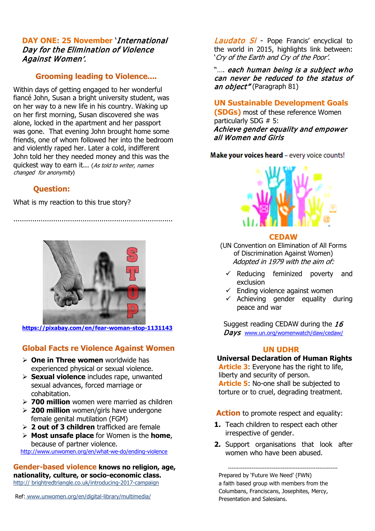## **DAY ONE: 25 November '**International Day for the Elimination of Violence Against Women'.

## **Grooming leading to Violence....**

Within days of getting engaged to her wonderful fiancé John, Susan a bright university student, was on her way to a new life in his country. Waking up on her first morning, Susan discovered she was alone, locked in the apartment and her passport was gone. That evening John brought home some friends, one of whom followed her into the bedroom and violently raped her. Later a cold, indifferent John told her they needed money and this was the quickest way to earn it... (As told to writer, names changed for anonymity)

## **Question:**

What is my reaction to this true story?



............................................................................

**<https://pixabay.com/en/fear-woman-stop-1131143>**

# **Global Facts re Violence Against Women**

- **One in Three women** worldwide has experienced physical or sexual violence.
- **Sexual violence** includes rape, unwanted sexual advances, forced marriage or cohabitation.
- **700 million** women were married as children
- **200 million** women/girls have undergone female genital mutilation (FGM)
- **2 out of 3 children** trafficked are female
- **Most unsafe place** for Women is the **home**, because of partner violence.

<http://www.unwomen.org/en/what-we-do/ending-violence>

**Gender-based violence knows no religion, age, nationality, culture, or socio-economic class.** http:// brightredtriangle.co.uk/introducing-2017-campaign

Ref: www.unwomen.org/en/digital-library/multimedia/

Laudato Si - Pope Francis' encyclical to the world in 2015, highlights link between: 'Cry of the Earth and Cry of the Poor'.

"…. each human being is a subject who can never be reduced to the status of an object" (Paragraph 81)

# **UN Sustainable Development Goals**

**(SDGs)** most of these reference Women particularly SDG # 5: Achieve gender equality and empower all Women and Girls

## Make your voices heard - every voice counts!



#### **CEDAW**

(UN Convention on Elimination of All Forms of Discrimination Against Women) Adopted in 1979 with the aim of:

- $\checkmark$  Reducing feminized poverty and exclusion
- $\checkmark$  Ending violence against women
- $\checkmark$  Achieving gender equality during peace and war

Suggest reading CEDAW during the  $16$ Days [www.un.org/womenwatch/daw/cedaw/](http://www.un.org/womenwatch/daw/cedaw/)

### **UN UDHR**

### **Universal Declaration of Human Rights**

**Article 3**: Everyone has the right to life, liberty and security of person. **Article 5**: No-one shall be subjected to torture or to cruel, degrading treatment.

**Action** to promote respect and equality:

- **1.** Teach children to respect each other irrespective of gender.
- **2.** Support organisations that look after women who have been abused.

------------------------------------------------------------ Prepared by 'Future We Need' (FWN) a faith based group with members from the Columbans, Franciscans, Josephites, Mercy, Presentation and Salesians.